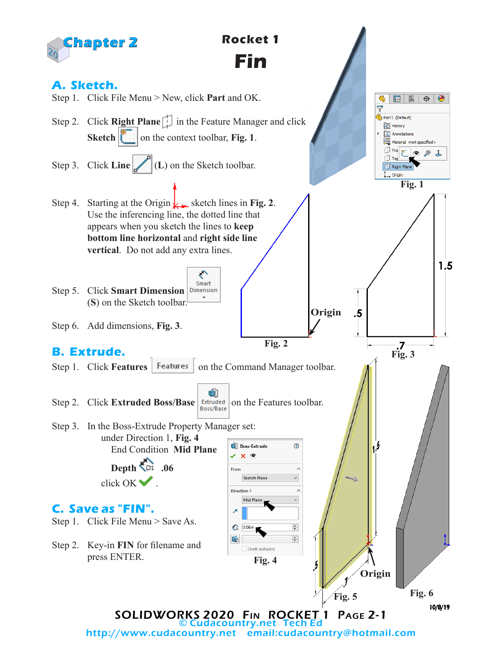

http://www.cudacountry.net email:cudacountry@hotmail.com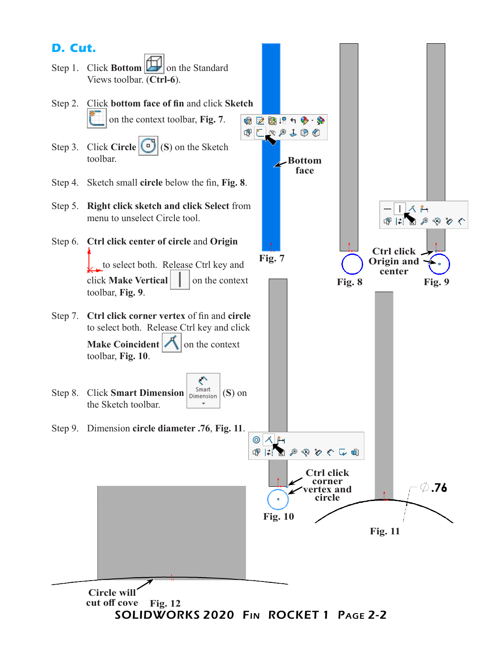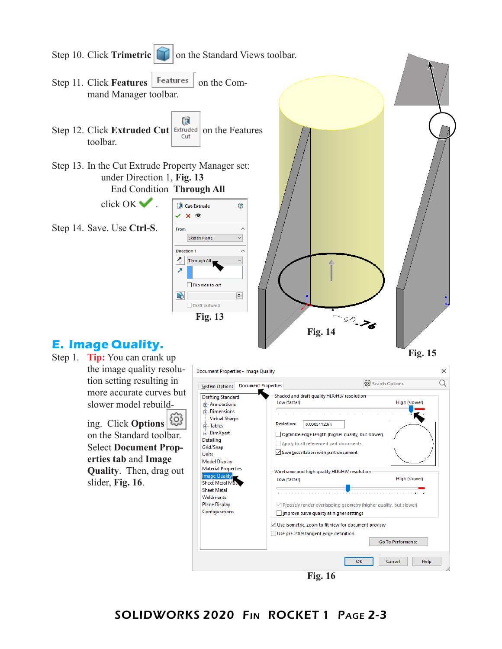

Step 1. **Tip:** You can crank up the image quality resolution setting resulting in more accurate curves but slower model rebuild-

> ing. Click **Options** on the Standard toolbar. Select **Document Properties tab** and **Image Quality**. Then, drag out slider, **Fig. 16**.

| Document Properties - Image Quality                                                                                                                                                                                                                                                                                                                |                                                                                                                                                      | ×                                                                                                                                                                                                                                                                                                                                                                                                                                                                        |  |  |  |
|----------------------------------------------------------------------------------------------------------------------------------------------------------------------------------------------------------------------------------------------------------------------------------------------------------------------------------------------------|------------------------------------------------------------------------------------------------------------------------------------------------------|--------------------------------------------------------------------------------------------------------------------------------------------------------------------------------------------------------------------------------------------------------------------------------------------------------------------------------------------------------------------------------------------------------------------------------------------------------------------------|--|--|--|
| <b>Document Properties</b><br><b>System Options</b>                                                                                                                                                                                                                                                                                                |                                                                                                                                                      | @ Search Options                                                                                                                                                                                                                                                                                                                                                                                                                                                         |  |  |  |
| <b>Drafting Standard</b><br>Annotations<br><b>E.</b> Dimensions<br><b>Virtual Sharps</b><br><b>E.</b> Tables<br>面 DimXpert<br>Detailing<br>Grid/Snap<br>Units<br><b>Model Display</b><br><b>Material Properties</b><br>Image Quality<br><b>Sheet Metal MBL</b><br><b>Sheet Metal</b><br><b>Weldments</b><br><b>Plane Display</b><br>Configurations | Low (faster)<br>Deviation:<br>0.00051123in<br>$\sqrt{}$ Save tessellation with part document<br>Low (faster)<br>Use pre-2009 tangent edge definition | Shaded and draft quality HLR/HLV resolution<br>High (slower)<br>the company of the company of<br>Optimize edge length (higher quality, but slower)<br>Apply to all referenced part documents<br>Wireframe and high quality HLR/HLV resolution<br>High (slower)<br>$\sqrt{}$ Precisely render overlapping geometry (higher quality, but slower)<br>Improve curve quality at higher settings<br>√Use isometric, zoom to fit view for document preview<br>Go To Performance |  |  |  |
| OK<br>Cancel<br>Help<br>ш.<br>$\blacksquare$                                                                                                                                                                                                                                                                                                       |                                                                                                                                                      |                                                                                                                                                                                                                                                                                                                                                                                                                                                                          |  |  |  |

**Fig. 16**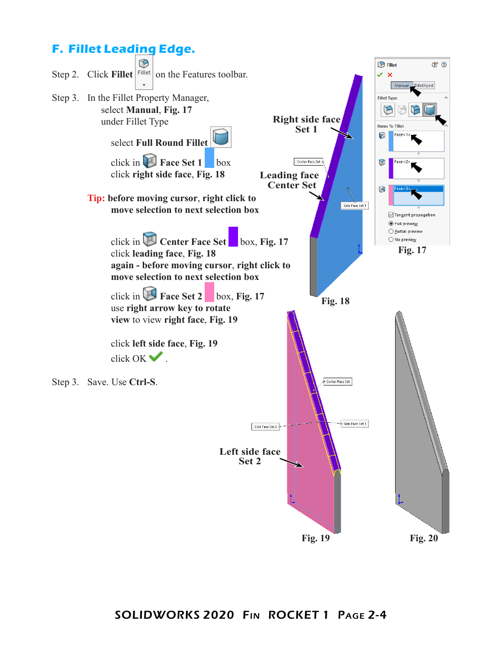## **F. Fillet Leading Edge.**

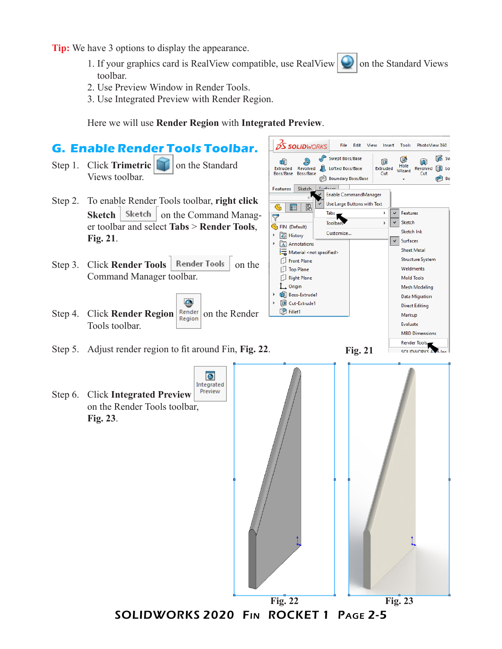**Tip:** We have 3 options to display the appearance.

1. If your graphics card is RealView compatible, use RealView  $\Box$  on the Standard Views toolbar.

**S SOLID**WORKS

Û

R

- 2. Use Preview Window in Render Tools.
- 3. Use Integrated Preview with Render Region.

Here we will use **Render Region** with **Integrated Preview**.

## **G. Enable Render Tools Toolbar.**

- Step 1. Click **Trimetric T** on the Standard Views toolbar.
- Step 2. To enable Render Tools toolbar, **right click Sketch** | Sketch | on the Command Manager toolbar and select **Tabs** > **Render Tools**, **Fig. 21**.
- Step 3. Click **Render Tools** | Render Tools | on the Command Manager toolbar.
- e Step 4. Click **Render Region** Render on the Render Tools toolbar.



 ${\sf File}$ Edit View

Swept Boss/Base

 $\label{eq:insert} \hspace{0.5cm} \textbf{Insert}$ 

向

Tools

G

Hole

PhotoView 360

 $\widehat{\mathbb{R}}$ 

Render Tools<br>SOLIDWORKS ANGLINE

**G** Sw

- Step 5. Adjust render region to fit around Fin, **Fig. 22**.
- Step 6. Click **Integrated Preview**  on the Render Tools toolbar, **Fig. 23**.

**Fig. 21**



SOLIDWORKS 2020 Fin ROCKET 1 Page 2-5